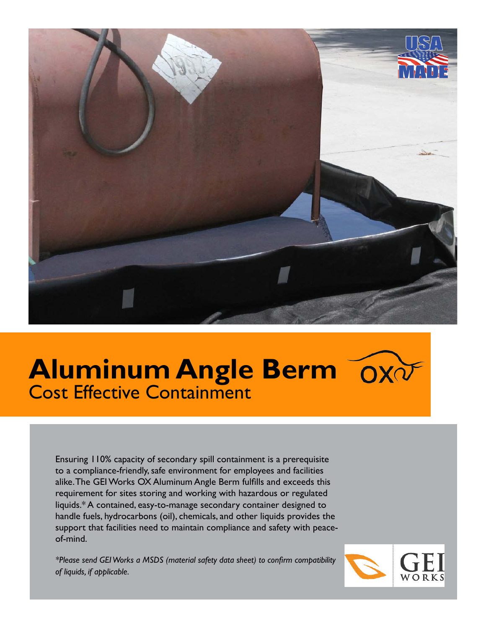

# Cost Effective Containment **Aluminum Angle Berm**



Ensuring 110% capacity of secondary spill containment is a prerequisite to a compliance-friendly, safe environment for employees and facilities alike. The GEI Works OX Aluminum Angle Berm fulfills and exceeds this requirement for sites storing and working with hazardous or regulated liquids.\* A contained, easy-to-manage secondary container designed to handle fuels, hydrocarbons (oil), chemicals, and other liquids provides the support that facilities need to maintain compliance and safety with peaceof-mind.

*\*Please send GEI Works a MSDS (material safety data sheet) to confirm compatibility of liquids, if applicable.*

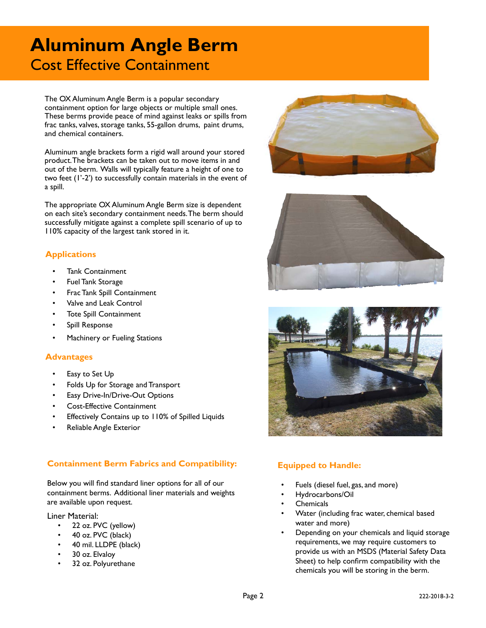## **[Aluminum Angle Berm](https://www.erosionpollution.com/Aluminum_Angle_Spill_Berms.html)** Cost Effective Containment

The OX Aluminum Angle Berm is a popular secondary containment option for large objects or multiple small ones. These berms provide peace of mind against leaks or spills from frac tanks, valves, storage tanks, 55-gallon drums, paint drums, and chemical containers.

Aluminum angle brackets form a rigid wall around your stored product. The brackets can be taken out to move items in and out of the berm. Walls will typically feature a height of one to two feet (1'-2') to successfully contain materials in the event of a spill.

The appropriate OX Aluminum Angle Berm size is dependent on each site's secondary containment needs. The berm should successfully mitigate against a complete spill scenario of up to 110% capacity of the largest tank stored in it.

#### **Applications**

- Tank Containment
- Fuel Tank Storage
- Frac Tank Spill Containment
- Valve and Leak Control
- **Tote Spill Containment**
- Spill Response
- Machinery or Fueling Stations

#### **Advantages**

- Easy to Set Up
- Folds Up for Storage and Transport
- Easy Drive-In/Drive-Out Options
- Cost-Effective Containment
- Effectively Contains up to 110% of Spilled Liquids
- Reliable Angle Exterior

### **Containment Berm Fabrics and Compatibility:**

Below you will find standard liner options for all of our containment berms. Additional liner materials and weights are available upon request.

Liner Material:

- 22 oz. PVC (yellow)
- 40 oz. PVC (black)
- 40 mil. LLDPE (black)
- 30 oz. Elvaloy
- 32 oz. Polyurethane







### **Equipped to Handle:**

- Fuels (diesel fuel, gas, and more)
- Hydrocarbons/Oil
- **Chemicals**
- Water (including frac water, chemical based water and more)
- Depending on your chemicals and liquid storage requirements, we may require customers to provide us with an MSDS (Material Safety Data Sheet) to help confirm compatibility with the chemicals you will be storing in the berm.